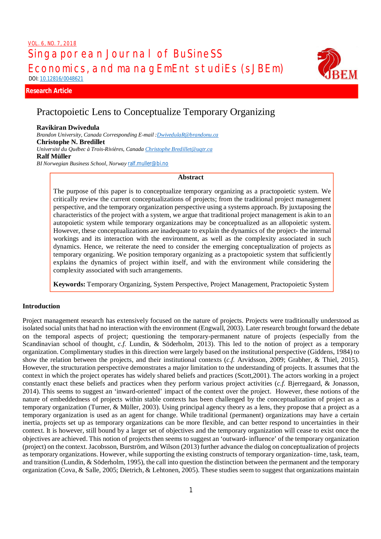# Singaporean Journal of BuSineSS Economics, and managEmEnt studiEs (sJBEm) DOI: 10.12816/0048621 VOL. 6, NO. 7, 2018



# **Research Article Research Article NBL**

# Practopoietic Lens to Conceptualize Temporary Organizing

#### **Ravikiran Dwivedula**

*Brandon University, Canada Corresponding E-mail :DwivedulaR@brandonu.ca* **Christophe N. Bredillet** *Université du Québec à Trois-Rivières, Canada Christophe Bredillet@uqtr.ca* **Ralf Müller** *BI Norwegian Business School, Norway* ralf.muller@bi.no

#### **Abstract**

The purpose of this paper is to conceptualize temporary organizing as a practopoietic system. We critically review the current conceptualizations of projects; from the traditional project management perspective, and the temporary organization perspective using a systems approach. By juxtaposing the characteristics of the project with a system, we argue that traditional project management is akin to an autopoietic system while temporary organizations may be conceptualized as an allopoietic system. However, these conceptualizations are inadequate to explain the dynamics of the project- the internal workings and its interaction with the environment, as well as the complexity associated in such dynamics. Hence, we reiterate the need to consider the emerging conceptualization of projects as temporary organizing. We position temporary organizing as a practopoietic system that sufficiently explains the dynamics of project within itself, and with the environment while considering the complexity associated with such arrangements.

**Keywords:** Temporary Organizing, System Perspective, Project Management, Practopoietic System

## **Introduction**

Project management research has extensively focused on the nature of projects. Projects were traditionally understood as isolated social units that had no interaction with the environment (Engwall, 2003). Later research brought forward the debate on the temporal aspects of project; questioning the temporary-permanent nature of projects (especially from the Scandinavian school of thought, *c.f.* Lundin, & Söderholm, 2013). This led to the notion of project as a temporary organization. Complimentary studies in this direction were largely based on the institutional perspective (Giddens, 1984) to show the relation between the projects, and their institutional contexts (*c.f.* Arvidsson, 2009; Grabher, & Thiel, 2015). However, the structuration perspective demonstrates a major limitation to the understanding of projects. It assumes that the context in which the project operates has widely shared beliefs and practices (Scott,2001). The actors working in a project constantly enact these beliefs and practices when they perform various project activities (*c.f.* Bjerregaard, & Jonasson, 2014). This seems to suggest an 'inward-oriented' impact of the context over the project. However, these notions of the nature of embeddedness of projects within stable contexts has been challenged by the conceptualization of project as a temporary organization (Turner, & Müller, 2003). Using principal agency theory as a lens, they propose that a project as a temporary organization is used as an agent for change. While traditional (permanent) organizations may have a certain inertia, projects set up as temporary organizations can be more flexible, and can better respond to uncertainties in their context. It is however, still bound by a larger set of objectives and the temporary organization will cease to exist once the objectives are achieved. This notion of projects then seems to suggest an 'outward- influence' of the temporary organization (project) on the context. Jacobsson, Burström, and Wilson (2013) further advance the dialog on conceptualization of projects as temporary organizations. However, while supporting the existing constructs of temporary organization- time, task, team, and transition (Lundin, & Söderholm, 1995), the call into question the distinction between the permanent and the temporary organization (Cova, & Salle, 2005; Dietrich, & Lehtonen, 2005). These studies seem to suggest that organizations maintain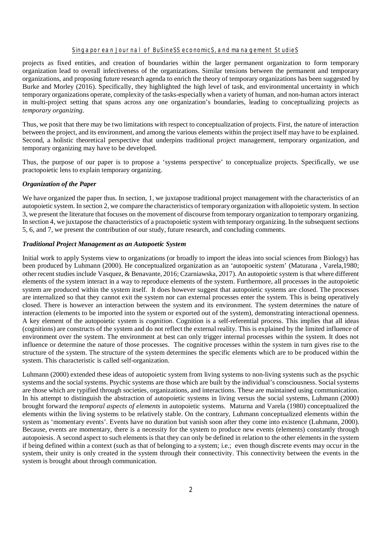projects as fixed entities, and creation of boundaries within the larger permanent organization to form temporary organization lead to overall infectiveness of the organizations. Similar tensions between the permanent and temporary organizations, and proposing future research agenda to enrich the theory of temporary organizations has been suggested by Burke and Morley (2016). Specifically, they highlighted the high level of task, and environmental uncertainty in which temporary organizations operate, complexity of the tasks-especially when a variety of human, and non-human actors interact in multi-project setting that spans across any one organization's boundaries, leading to conceptualizing projects as *temporary organizing*.

Thus, we posit that there may be two limitations with respect to conceptualization of projects. First, the nature of interaction between the project, and its environment, and among the various elements within the project itself may have to be explained. Second, a holistic theoretical perspective that underpins traditional project management, temporary organization, and temporary organizing may have to be developed.

Thus, the purpose of our paper is to propose a 'systems perspective' to conceptualize projects. Specifically, we use practopoietic lens to explain temporary organizing.

#### *Organization of the Paper*

We have organized the paper thus. In section, 1, we juxtapose traditional project management with the characteristics of an autopoietic system. In section 2, we compare the characteristics of temporary organization with allopoietic system. In section 3, we present the literature that focuses on the movement of discourse from temporary organization to temporary organizing. In section 4, we juxtapose the characteristics of a practopoietic system with temporary organizing. In the subsequent sections 5, 6, and 7, we present the contribution of our study, future research, and concluding comments.

### *Traditional Project Management as an Autopoetic System*

Initial work to apply Systems view to organizations (or broadly to import the ideas into social sciences from Biology) has been produced by Luhmann (2000). He conceptualized organization as an 'autopoeitic system' (Maturana , Varela,1980; other recent studies include Vasquez, & Benavante, 2016; Czarniawska, 2017). An autopoietic system is that where different elements of the system interact in a way to reproduce elements of the system. Furthermore, all processes in the autopoietic system are produced within the system itself. It does however suggest that autopoietic systems are closed. The processes are internalized so that they cannot exit the system nor can external processes enter the system. This is being operatively closed. There is however an interaction between the system and its environment. The system determines the nature of interaction (elements to be imported into the system or exported out of the system), demonstrating interactional openness. A key element of the autopoietic system is *cognition*. Cognition is a self-referential process. This implies that all ideas (cognitions) are constructs of the system and do not reflect the external reality. This is explained by the limited influence of environment over the system. The environment at best can only trigger internal processes within the system. It does not influence or determine the nature of those processes. The cognitive processes within the system in turn gives rise to the structure of the system. The structure of the system determines the specific elements which are to be produced within the system. This characteristic is called self-organization.

Luhmann (2000) extended these ideas of autopoietic system from living systems to non-living systems such as the psychic systems and the social systems. Psychic systems are those which are built by the individual's consciousness. Social systems are those which are typified through societies, organizations, and interactions. These are maintained using communication. In his attempt to distinguish the abstraction of autopoietic systems in living versus the social systems, Luhmann (2000) brought forward the *temporal aspects of elements* in autopoietic systems. Maturna and Varela (1980) conceptualized the elements within the living systems to be relatively stable. On the contrary, Luhmann conceptualized elements within the system as 'momentary events'. Events have no duration but vanish soon after they come into existence (Luhmann, 2000). Because, events are momentary, there is a necessity for the system to produce new events (elements) constantly through autopoiesis. A second aspect to such elements is that they can only be defined in relation to the other elements in the system if being defined within a context (such as that of belonging to a system; i.e.; even though discrete events may occur in the system, their unity is only created in the system through their connectivity. This connectivity between the events in the system is brought about through communication.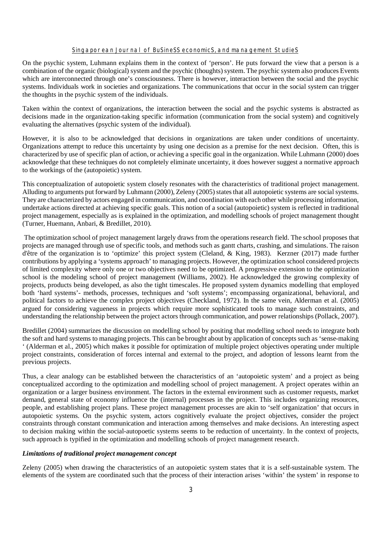On the psychic system, Luhmann explains them in the context of 'person'. He puts forward the view that a person is a combination of the organic (biological) system and the psychic (thoughts) system. The psychic system also produces Events which are interconnected through one's consciousness. There is however, interaction between the social and the psychic systems. Individuals work in societies and organizations. The communications that occur in the social system can trigger the thoughts in the psychic system of the individuals.

Taken within the context of organizations, the interaction between the social and the psychic systems is abstracted as decisions made in the organization-taking specific information (communication from the social system) and cognitively evaluating the alternatives (psychic system of the individual).

However, it is also to be acknowledged that decisions in organizations are taken under conditions of uncertainty. Organizations attempt to reduce this uncertainty by using one decision as a premise for the next decision. Often, this is characterized by use of specific plan of action, or achieving a specific goal in the organization. While Luhmann (2000) does acknowledge that these techniques do not completely eliminate uncertainty, it does however suggest a normative approach to the workings of the (autopoietic) system.

This conceptualization of autopoietic system closely resonates with the characteristics of traditional project management. Alluding to arguments put forward by Luhmann (2000), Zeleny (2005) states that all autopoietic systems are social systems. They are characterized by actors engaged in communication, and coordination with each other while processing information, undertake actions directed at achieving specific goals. This notion of a social (autopoietic) system is reflected in traditional project management, especially as is explained in the optimization, and modelling schools of project management thought (Turner, Huemann, Anbari, & Bredillet, 2010).

The optimization school of project management largely draws from the operations research field. The school proposes that projects are managed through use of specific tools, and methods such as gantt charts, crashing, and simulations. The raison d'être of the organization is to 'optimize' this project system (Cleland, & King, 1983). Kerzner (2017) made further contributions by applying a 'systems approach' to managing projects. However, the optimization school considered projects of limited complexity where only one or two objectives need to be optimized. A progressive extension to the optimization school is the modeling school of project management (Williams, 2002). He acknowledged the growing complexity of projects, products being developed, as also the tight timescales. He proposed system dynamics modelling that employed both 'hard systems'- methods, processes, techniques and 'soft systems'; encompassing organizational, behavioral, and political factors to achieve the complex project objectives (Checkland, 1972). In the same vein, Alderman et al. (2005) argued for considering vagueness in projects which require more sophisticated tools to manage such constraints, and understanding the relationship between the project actors through communication, and power relationships (Pollack, 2007).

Bredillet (2004) summarizes the discussion on modelling school by positing that modelling school needs to integrate both the soft and hard systems to managing projects. This can be brought about by application of concepts such as 'sense-making ' (Alderman et al., 2005) which makes it possible for optimization of multiple project objectives operating under multiple project constraints, consideration of forces internal and external to the project, and adoption of lessons learnt from the previous projects.

Thus, a clear analogy can be established between the characteristics of an 'autopoietic system' and a project as being conceptualized according to the optimization and modelling school of project management. A project operates within an organization or a larger business environment. The factors in the external environment such as customer requests, market demand, general state of economy influence the (internal) processes in the project. This includes organizing resources, people, and establishing project plans. These project management processes are akin to 'self organization' that occurs in autopoietic systems. On the psychic system, actors cognitively evaluate the project objectives, consider the project constraints through constant communication and interaction among themselves and make decisions. An interesting aspect to decision making within the social-autopoetic systems seems to be reduction of uncertainty. In the context of projects, such approach is typified in the optimization and modelling schools of project management research.

#### *Limitations of traditional project management concept*

Zeleny (2005) when drawing the characteristics of an autopoietic system states that it is a self-sustainable system. The elements of the system are coordinated such that the process of their interaction arises 'within' the system' in response to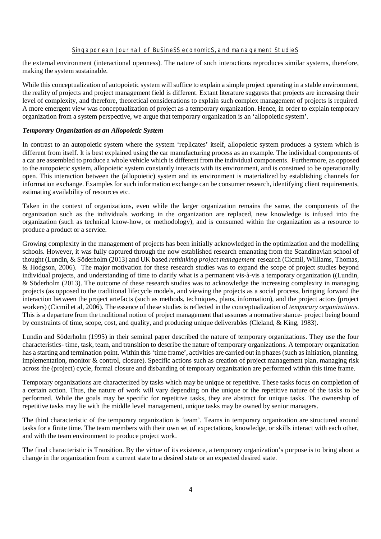the external environment (interactional openness). The nature of such interactions reproduces similar systems, therefore, making the system sustainable.

While this conceptualization of autopoietic system will suffice to explain a simple project operating in a stable environment, the reality of projects and project management field is different. Extant literature suggests that projects are increasing their level of complexity, and therefore, theoretical considerations to explain such complex management of projects is required. A more emergent view was conceptualization of project as a temporary organization. Hence, in order to explain temporary organization from a system perspective, we argue that temporary organization is an 'allopoietic system'.

#### *Temporary Organization as an Allopoietic System*

In contrast to an autopoietic system where the system 'replicates' itself, allopoietic system produces a system which is different from itself. It is best explained using the car manufacturing process as an example. The individual components of a car are assembled to produce a whole vehicle which is different from the individual components. Furthermore, as opposed to the autopoietic system, allopoietic system constantly interacts with its environment, and is construed to be operationally open. This interaction between the (allopoietic) system and its environment is materialized by establishing channels for information exchange. Examples for such information exchange can be consumer research, identifying client requirements, estimating availability of resources etc.

Taken in the context of organizations, even while the larger organization remains the same, the components of the organization such as the individuals working in the organization are replaced, new knowledge is infused into the organization (such as technical know-how, or methodology), and is consumed within the organization as a resource to produce a product or a service.

Growing complexity in the management of projects has been initially acknowledged in the optimization and the modelling schools. However, it was fully captured through the now established research emanating from the Scandinavian school of thought (Lundin, & Söderholm (2013) and UK based *rethinking project management* research (Cicmil, Williams, Thomas, & Hodgson, 2006). The major motivation for these research studies was to expand the scope of project studies beyond individual projects, and understanding of time to clarify what is a permanent vis-à-vis a temporary organization ((Lundin, & Söderholm (2013). The outcome of these research studies was to acknowledge the increasing complexity in managing projects (as opposed to the traditional lifecycle models, and viewing the projects as a social process, bringing forward the interaction between the project artefacts (such as methods, techniques, plans, information), and the project actors (project workers) (Cicmil et al, 2006). The essence of these studies is reflected in the conceptualization of *temporary organizations*. This is a departure from the traditional notion of project management that assumes a normative stance- project being bound by constraints of time, scope, cost, and quality, and producing unique deliverables (Cleland, & King, 1983).

Lundin and Söderholm (1995) in their seminal paper described the nature of temporary organizations. They use the four characteristics- time, task, team, and transition to describe the nature of temporary organizations. A temporary organization has a starting and termination point. Within this 'time frame', activities are carried out in phazes (such as initiation, planning, implementation, monitor & control, closure). Specific actions such as creation of project management plan, managing risk across the (project) cycle, formal closure and disbanding of temporary organization are performed within this time frame.

Temporary organizations are characterized by tasks which may be unique or repetitive. These tasks focus on completion of a certain action. Thus, the nature of work will vary depending on the unique or the repetitive nature of the tasks to be performed. While the goals may be specific for repetitive tasks, they are abstract for unique tasks. The ownership of repetitive tasks may lie with the middle level management, unique tasks may be owned by senior managers.

The third characteristic of the temporary organization is 'team'. Teams in temporary organization are structured around tasks for a finite time. The team members with their own set of expectations, knowledge, or skills interact with each other, and with the team environment to produce project work.

The final characteristic is Transition. By the virtue of its existence, a temporary organization's purpose is to bring about a change in the organization from a current state to a desired state or an expected desired state.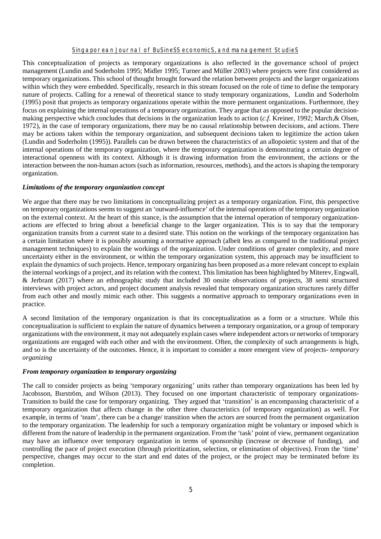This conceptualization of projects as temporary organizations is also reflected in the governance school of project management (Lundin and Soderholm 1995; Midler 1995; Turner and Müller 2003) where projects were first considered as temporary organizations. This school of thought brought forward the relation between projects and the larger organizations within which they were embedded. Specifically, research in this stream focused on the role of time to define the temporary nature of projects. Calling for a renewal of theoretical stance to study temporary organizations, Lundin and Soderholm (1995) posit that projects as temporary organizations operate within the more permanent organizations. Furthermore, they focus on explaining the internal operations of a temporary organization. They argue that as opposed to the popular decisionmaking perspective which concludes that decisions in the organization leads to action (*c.f.* Kreiner, 1992; March,& Olsen, 1972), in the case of temporary organizations, there may be no causal relationship between decisions, and actions. There may be actions taken within the temporary organization, and subsequent decisions taken to legitimize the action taken (Lundin and Soderholm (1995)). Parallels can be drawn between the characteristics of an allopoietic system and that of the internal operations of the temporary organization, where the temporary organization is demonstrating a certain degree of interactional openness with its context. Although it is drawing information from the environment, the actions or the interaction between the non-human actors (such as information, resources, methods), and the actors is shaping the temporary organization.

#### *Limitations of the temporary organization concept*

We argue that there may be two limitations in conceptualizing project as a temporary organization. First, this perspective on temporary organizations seems to suggest an 'outward-influence' of the internal operations of the temporary organization on the external context. At the heart of this stance, is the assumption that the internal operation of temporary organizationactions are effected to bring about a beneficial change to the larger organization. This is to say that the temporary organization transits from a current state to a desired state. This notion on the workings of the temporary organization has a certain limitation where it is possibly assuming a normative approach (albeit less as compared to the traditional project management techniques) to explain the workings of the organization. Under conditions of greater complexity, and more uncertainty either in the environment, or within the temporary organization system, this approach may be insufficient to explain the dynamics of such projects. Hence, temporary organizing has been proposed as a more relevant concept to explain the internal workings of a project, and its relation with the context. This limitation has been highlighted by Miterev, Engwall, & Jerbrant (2017) where an ethnographic study that included 30 onsite observations of projects, 38 semi structured interviews with project actors, and project document analysis revealed that temporary organization structures rarely differ from each other and mostly mimic each other. This suggests a normative approach to temporary organizations even in practice.

A second limitation of the temporary organization is that its conceptualization as a form or a structure. While this conceptualization is sufficient to explain the nature of dynamics between a temporary organization, or a group of temporary organizations with the environment, it may not adequately explain cases where independent actors or networks of temporary organizations are engaged with each other and with the environment. Often, the complexity of such arrangements is high, and so is the uncertainty of the outcomes. Hence, it is important to consider a more emergent view of projects- *temporary organizing*

### *From temporary organization to temporary organizing*

The call to consider projects as being 'temporary organizing' units rather than temporary organizations has been led by Jacobsson, Burström, and Wilson (2013). They focused on one important characteristic of temporary organizations-Transition to build the case for temporary organizing. They argued that 'transition' is an encompassing characteristic of a temporary organization that affects change in the other three characteristics (of temporary organization) as well. For example, in terms of 'team', there can be a change/ transition when the actors are sourced from the permanent organization to the temporary organization. The leadership for such a temporary organization might be voluntary or imposed which is different from the nature of leadership in the permanent organization. From the 'task' point of view, permanent organization may have an influence over temporary organization in terms of sponsorship (increase or decrease of funding), and controlling the pace of project execution (through prioritization, selection, or elimination of objectives). From the 'time' perspective, changes may occur to the start and end dates of the project, or the project may be terminated before its completion.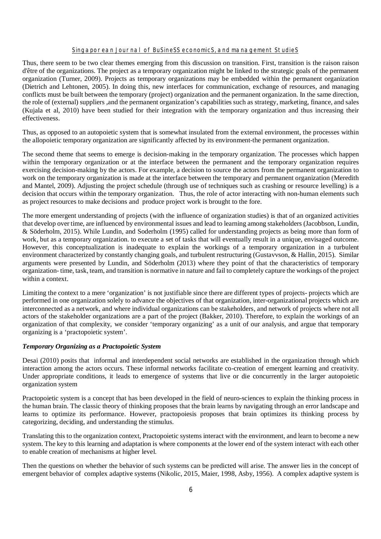Thus, there seem to be two clear themes emerging from this discussion on transition. First, transition is the raison raison d'être of the organizations. The project as a temporary organization might be linked to the strategic goals of the permanent organization (Turner, 2009). Projects as temporary organizations may be embedded within the permanent organization (Dietrich and Lehtonen, 2005). In doing this, new interfaces for communication, exchange of resources, and managing conflicts must be built between the temporary (project) organization and the permanent organization. In the same direction, the role of (external) suppliers ,and the permanent organization's capabilities such as strategy, marketing, finance, and sales (Kujala et al, 2010) have been studied for their integration with the temporary organization and thus increasing their effectiveness.

Thus, as opposed to an autopoietic system that is somewhat insulated from the external environment, the processes within the allopoietic temporary organization are significantly affected by its environment-the permanent organization.

The second theme that seems to emerge is decision-making in the temporary organization. The processes which happen within the temporary organization or at the interface between the permanent and the temporary organization requires exercising decision-making by the actors. For example, a decision to source the actors from the permanent organization to work on the temporary organization is made at the interface between the temporary and permanent organization (Meredith and Mantel, 2009). Adjusting the project schedule (through use of techniques such as crashing or resource levelling) is a decision that occurs within the temporary organization. Thus, the role of actor interacting with non-human elements such as project resources to make decisions and produce project work is brought to the fore.

The more emergent understanding of projects (with the influence of organization studies) is that of an organized activities that develop over time, are influenced by environmental issues and lead to learning among stakeholders (Jacobbson, Lundin, & Söderholm, 2015). While Lundin, and Soderholm (1995) called for understanding projects as being more than form of work, but as a temporary organization. to execute a set of tasks that will eventually result in a unique, envisaged outcome. However, this conceptualization is inadequate to explain the workings of a temporary organization in a turbulent environment characterized by constantly changing goals, and turbulent restructuring (Gustavvson, & Hallin, 2015). Similar arguments were presented by Lundin, and Söderholm (2013) where they point of that the characteristics of temporary organization- time, task, team, and transition is normative in nature and fail to completely capture the workings of the project within a context.

Limiting the context to a mere 'organization' is not justifiable since there are different types of projects- projects which are performed in one organization solely to advance the objectives of that organization, inter-organizational projects which are interconnected as a network, and where individual organizations can be stakeholders, and network of projects where not all actors of the stakeholder organizations are a part of the project (Bakker, 2010). Therefore, to explain the workings of an organization of that complexity, we consider 'temporary organizing' as a unit of our analysis, and argue that temporary organizing is a 'practopoietic system'.

#### *Temporary Organizing as a Practopoietic System*

Desai (2010) posits that informal and interdependent social networks are established in the organization through which interaction among the actors occurs. These informal networks facilitate co-creation of emergent learning and creativity. Under appropriate conditions, it leads to emergence of systems that live or die concurrently in the larger autopoietic organization system

Practopoietic system is a concept that has been developed in the field of neuro-sciences to explain the thinking process in the human brain. The classic theory of thinking proposes that the brain learns by navigating through an error landscape and learns to optimize its performance. However, practopoiesis proposes that brain optimizes its thinking process by categorizing, deciding, and understanding the stimulus.

Translating this to the organization context, Practopoietic systems interact with the environment, and learn to become a new system. The key to this learning and adaptation is where components at the lower end of the system interact with each other to enable creation of mechanisms at higher level.

Then the questions on whether the behavior of such systems can be predicted will arise. The answer lies in the concept of emergent behavior of complex adaptive systems (Nikolic, 2015, Maier, 1998, Asby, 1956). A complex adaptive system is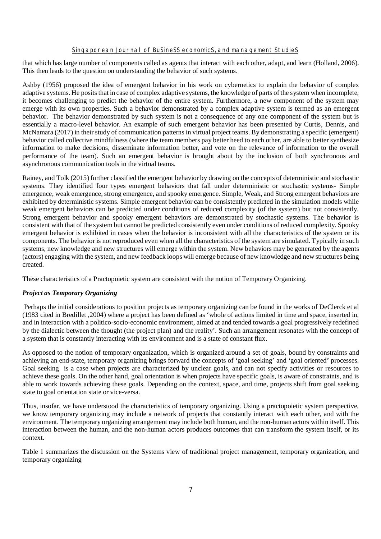that which has large number of components called as agents that interact with each other, adapt, and learn (Holland, 2006). This then leads to the question on understanding the behavior of such systems.

Ashby (1956) proposed the idea of emergent behavior in his work on cybernetics to explain the behavior of complex adaptive systems. He posits that in case of complex adaptive systems, the knowledge of parts of the system when incomplete, it becomes challenging to predict the behavior of the entire system. Furthermore, a new component of the system may emerge with its own properties. Such a behavior demonstrated by a complex adaptive system is termed as an emergent behavior. The behavior demonstrated by such system is not a consequence of any one component of the system but is essentially a macro-level behavior. An example of such emergent behavior has been presented by Curtis, Dennis, and McNamara (2017) in their study of communication patterns in virtual project teams. By demonstrating a specific (emergent) behavior called collective mindfulness (where the team members pay better heed to each other, are able to better synthesize information to make decisions, disseminate information better, and vote on the relevance of information to the overall performance of the team). Such an emergent behavior is brought about by the inclusion of both synchronous and asynchronous communication tools in the virtual teams.

Rainey, and Tolk (2015) further classified the emergent behavior by drawing on the concepts of deterministic and stochastic systems. They identified four types emergent behaviors that fall under deterministic or stochastic systems- Simple emergence, weak emergence, strong emergence, and spooky emergence. Simple, Weak, and Strong emergent behaviors are exhibited by deterministic systems. Simple emergent behavior can be consistently predicted in the simulation models while weak emergent behaviors can be predicted under conditions of reduced complexity (of the system) but not consistently. Strong emergent behavior and spooky emergent behaviors are demonstrated by stochastic systems. The behavior is consistent with that of the system but cannot be predicted consistently even under conditions of reduced complexity. Spooky emergent behavior is exhibited in cases when the behavior is inconsistent with all the characteristics of the system or its components. The behavior is not reproduced even when all the characteristics of the system are simulated. Typically in such systems, new knowledge and new structures will emerge within the system. New behaviors may be generated by the agents (actors) engaging with the system, and new feedback loops will emerge because of new knowledge and new structures being created.

These characteristics of a Practopoietic system are consistent with the notion of Temporary Organizing.

# *Project as Temporary Organizing*

Perhaps the initial considerations to position projects as temporary organizing can be found in the works of DeClerck et al (1983 cited in Bredillet ,2004) where a project has been defined as 'whole of actions limited in time and space, inserted in, and in interaction with a politico-socio-economic environment, aimed at and tended towards a goal progressively redefined by the dialectic between the thought (the project plan) and the reality'. Such an arrangement resonates with the concept of a system that is constantly interacting with its environment and is a state of constant flux.

As opposed to the notion of temporary organization, which is organized around a set of goals, bound by constraints and achieving an end-state, temporary organizing brings forward the concepts of 'goal seeking' and 'goal oriented' processes. Goal seeking is a case when projects are characterized by unclear goals, and can not specify activities or resources to achieve these goals. On the other hand, goal orientation is when projects have specific goals, is aware of constraints, and is able to work towards achieving these goals. Depending on the context, space, and time, projects shift from goal seeking state to goal orientation state or vice-versa.

Thus, insofar, we have understood the characteristics of temporary organizing. Using a practopoietic system perspective, we know temporary organizing may include a network of projects that constantly interact with each other, and with the environment. The temporary organizing arrangement may include both human, and the non-human actors within itself. This interaction between the human, and the non-human actors produces outcomes that can transform the system itself, or its context.

Table 1 summarizes the discussion on the Systems view of traditional project management, temporary organization, and temporary organizing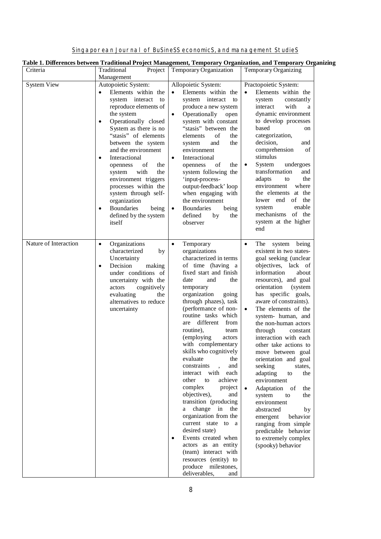|  | Singaporean Journal of Business economics, and management Studies |
|--|-------------------------------------------------------------------|

| Criteria              | Traditional<br>Project                                                                                                                                                                                                                                                                                                                                                                                                                                                                                  | Temporary Organization                                                                                                                                                                                                                                                                                                                                                                                                                                                                                                                                                                                                                                                                                                                                                                             | Temporary Organizing                                                                                                                                                                                                                                                                                                                                                                                                                                                                                                                                                                                                                                                                                                                     |
|-----------------------|---------------------------------------------------------------------------------------------------------------------------------------------------------------------------------------------------------------------------------------------------------------------------------------------------------------------------------------------------------------------------------------------------------------------------------------------------------------------------------------------------------|----------------------------------------------------------------------------------------------------------------------------------------------------------------------------------------------------------------------------------------------------------------------------------------------------------------------------------------------------------------------------------------------------------------------------------------------------------------------------------------------------------------------------------------------------------------------------------------------------------------------------------------------------------------------------------------------------------------------------------------------------------------------------------------------------|------------------------------------------------------------------------------------------------------------------------------------------------------------------------------------------------------------------------------------------------------------------------------------------------------------------------------------------------------------------------------------------------------------------------------------------------------------------------------------------------------------------------------------------------------------------------------------------------------------------------------------------------------------------------------------------------------------------------------------------|
| System View           | Management<br>Autopoietic System:<br>Elements within the<br>system interact<br>to<br>reproduce elements of<br>the system<br>Operationally closed<br>$\bullet$<br>System as there is no<br>"stasis" of elements<br>between the system<br>and the environment<br>Interactional<br>$\bullet$<br>the<br>openness<br>of<br>with<br>the<br>system<br>environment triggers<br>processes within the<br>system through self-<br>organization<br><b>Boundaries</b><br>being<br>$\bullet$<br>defined by the system | Allopoietic System:<br>Elements within the<br>system interact<br>to<br>produce a new system<br>Operationally<br>open<br>$\bullet$<br>system with constant<br>"stasis" between the<br>of<br>the<br>elements<br>the<br>and<br>system<br>environment<br>Interactional<br>$\bullet$<br>openness<br>the<br>of<br>system following the<br>'input-process-<br>output-feedback' loop<br>when engaging with<br>the environment<br><b>Boundaries</b><br>being<br>$\bullet$<br>defined<br>by<br>the                                                                                                                                                                                                                                                                                                           | Practopoietic System:<br>Elements within the<br>constantly<br>system<br>with<br>interact<br>a<br>dynamic environment<br>to develop processes<br>based<br>on<br>categorization,<br>decision,<br>and<br>comprehension<br>of<br>stimulus<br><b>System</b><br>undergoes<br>transformation<br>and<br>adapts<br>the<br>to<br>environment<br>where<br>the elements at the<br>lower end<br>of<br>the<br>enable<br>system<br>mechanisms of the<br>system at the higher                                                                                                                                                                                                                                                                            |
| Nature of Interaction | itself<br>Organizations<br>$\bullet$<br>characterized<br>by<br>Uncertainty<br>Decision<br>making<br>$\bullet$<br>under conditions of<br>uncertainty with the<br>cognitively<br>actors<br>evaluating<br>the<br>alternatives to reduce<br>uncertainty                                                                                                                                                                                                                                                     | observer<br>Temporary<br>$\bullet$<br>organizations<br>characterized in terms<br>of time (having a<br>fixed start and finish<br>date<br>and<br>the<br>temporary<br>organization<br>going<br>through phazes), task<br>(performance of non-<br>routine tasks which<br>different<br>from<br>are<br>routine),<br>team<br>(employing<br>actors<br>with complementary<br>skills who cognitively<br>evaluate<br>the<br>constraints<br>and<br>interact with<br>each<br>other<br>achieve<br>to<br>complex<br>project<br>objectives),<br>and<br>transition (producing<br>change in the<br>a -<br>organization from the<br>current state to a<br>desired state)<br>Events created when<br>actors as an entity<br>(team) interact with<br>resources (entity) to<br>produce milestones,<br>deliverables,<br>and | end<br>The system being<br>$\bullet$<br>existent in two states-<br>goal seeking (unclear<br>objectives, lack of<br>information<br>about<br>resources), and goal<br>orientation<br>(system<br>has specific goals,<br>aware of constraints).<br>The elements of the<br>$\bullet$<br>system- human, and<br>the non-human actors<br>through<br>constant<br>interaction with each<br>other take actions to<br>move between goal<br>orientation and goal<br>seeking<br>states,<br>adapting<br>the<br>to<br>environment<br>Adaptation<br>$\bullet$<br>- of<br>the<br>system<br>to<br>the<br>environment<br>abstracted<br>by<br>behavior<br>emergent<br>ranging from simple<br>predictable behavior<br>to extremely complex<br>(spooky) behavior |

# **Table 1. Differences between Traditional Project Management, Temporary Organization, and Temporary Organizing**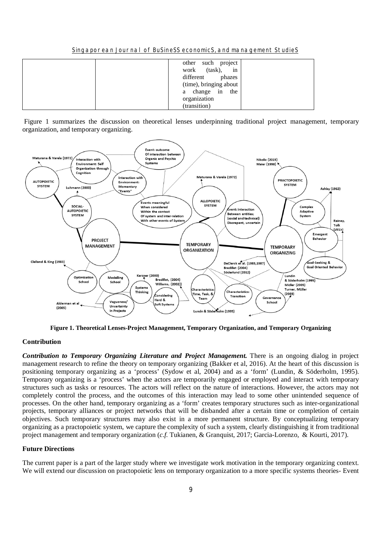Singaporean Journal of BuSineSS economicS, and management StudieS

| such project<br>other<br>(task),<br>in<br>work<br>different<br>phazes<br>(time), bringing about<br>a change in<br>the<br>organization |
|---------------------------------------------------------------------------------------------------------------------------------------|
| (transition)                                                                                                                          |

Figure 1 summarizes the discussion on theoretical lenses underpinning traditional project management, temporary organization, and temporary organizing.



**Figure 1. Theoretical Lenses-Project Management, Temporary Organization, and Temporary Organizing**

## **Contribution**

*Contribution to Temporary Organizing Literature and Project Management*. There is an ongoing dialog in project management research to refine the theory on temporary organizing (Bakker et al, 2016). At the heart of this discussion is positioning temporary organizing as a 'process' (Sydow et al, 2004) and as a 'form' (Lundin, & Söderholm, 1995). Temporary organizing is a 'process' when the actors are temporarily engaged or employed and interact with temporary structures such as tasks or resources. The actors will reflect on the nature of interactions. However, the actors may not completely control the process, and the outcomes of this interaction may lead to some other unintended sequence of processes. On the other hand, temporary organizing as a 'form' creates temporary structures such as inter-organizational projects, temporary alliances or project networks that will be disbanded after a certain time or completion of certain objectives. Such temporary structures may also exist in a more permanent structure. By conceptualizing temporary organizing as a practopoietic system, we capture the complexity of such a system, clearly distinguishing it from traditional project management and temporary organization (*c.f.* Tukianen, & Granquist, 2017; Garcia-Lorenzo, & Kourti, 2017).

#### **Future Directions**

The current paper is a part of the larger study where we investigate work motivation in the temporary organizing context. We will extend our discussion on practopoietic lens on temporary organization to a more specific systems theories- Event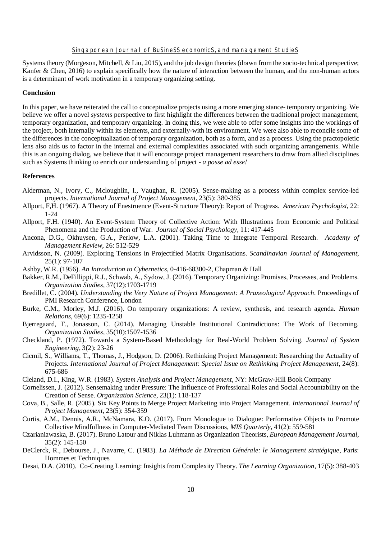Systems theory (Morgeson, Mitchell, & Liu, 2015), and the job design theories (drawn from the socio-technical perspective; Kanfer & Chen, 2016) to explain specifically how the nature of interaction between the human, and the non-human actors is a determinant of work motivation in a temporary organizing setting.

#### **Conclusion**

In this paper, we have reiterated the call to conceptualize projects using a more emerging stance- temporary organizing. We believe we offer a novel *systems* perspective to first highlight the differences between the traditional project management, temporary organization, and temporary organizing. In doing this, we were able to offer some insights into the workings of the project, both internally within its elements, and externally-with its environment. We were also able to reconcile some of the differences in the conceptualization of temporary organization, both as a form, and as a process. Using the practopoietic lens also aids us to factor in the internal and external complexities associated with such organizing arrangements. While this is an ongoing dialog, we believe that it will encourage project management researchers to draw from allied disciplines such as Systems thinking to enrich our understanding of project - *a posse ad esse!*

#### **References**

- Alderman, N., Ivory, C., Mcloughlin, I., Vaughan, R. (2005). Sense-making as a process within complex service-led projects. *International Journal of Project Management*, 23(5): 380-385
- Allport, F,H. (1967). A Theory of Enestruence (Event-Structure Theory): Report of Progress. *American Psychologist*, 22: 1-24
- Allport, F.H. (1940). An Event-System Theory of Collective Action: With Illustrations from Economic and Political Phenomena and the Production of War. *Journal of Social Psychology*, 11: 417-445
- Ancona, D.G., Okhuysen, G.A., Perlow, L.A. (2001). Taking Time to Integrate Temporal Research. *Academy of Management Review*, 26: 512-529
- Arvidsson, N. (2009). Exploring Tensions in Projectified Matrix Organisations. *Scandinavian Journal of Management*, 25(1): 97-107
- Ashby, W.R. (1956). *An Introduction to Cybernetics*, 0-416-68300-2, Chapman & Hall
- Bakker, R.M., DeFillippi, R.J., Schwab, A., Sydow, J. (2016). Temporary Organizing: Promises, Processes, and Problems. *Organization Studies*, 37(12):1703-1719
- Bredillet, C. (2004). *Understanding the Very Nature of Project Management: A Praxeological Approach*. Proceedings of PMI Research Conference, London
- Burke, C.M., Morley, M.J. (2016). On temporary organizations: A review, synthesis, and research agenda. *Human Relations*, 69(6): 1235-1258
- Bjerregaard, T., Jonasson, C. (2014). Managing Unstable Institutional Contradictions: The Work of Becoming. *Organization Studies*, 35(10):1507-1536
- Checkland, P. (1972). Towards a System-Based Methodology for Real-World Problem Solving. *Journal of System Engineering*, 3(2): 23-26
- Cicmil, S., Williams, T., Thomas, J., Hodgson, D. (2006). Rethinking Project Management: Researching the Actuality of Projects. *International Journal of Project Management: Special Issue on Rethinking Project Management*, 24(8): 675-686
- Cleland, D.I., King, W.R. (1983). *System Analysis and Project Management,* NY: McGraw-Hill Book Company
- Cornelissen, J. (2012). Sensemaking under Pressure: The Influence of Professional Roles and Social Accountability on the Creation of Sense. *Organization Science*, 23(1): 118-137
- Cova, B., Salle, R. (2005). Six Key Points to Merge Project Marketing into Project Management. *International Journal of Project Management*, 23(5): 354-359
- Curtis, A.M., Dennis, A.R., McNamara, K.O. (2017). From Monologue to Dialogue: Performative Objects to Promote Collective Mindfullness in Computer-Mediated Team Discussions, *MIS Quarterly*, 41(2): 559-581
- Czarianiawaska, B. (2017). Bruno Latour and Niklas Luhmann as Organization Theorists, *European Management Journal*, 35(2): 145-150
- DeClerck, R., Debourse, J., Navarre, C. (1983). *La Méthode de Direction Générale: le Management stratégique*, Paris: Hommes et Techniques
- Desai, D.A. (2010). Co-Creating Learning: Insights from Complexity Theory. *The Learning Organization*, 17(5): 388-403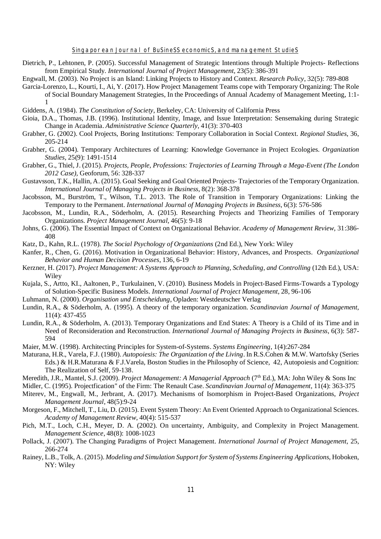- Dietrich, P., Lehtonen, P. (2005). Successful Management of Strategic Intentions through Multiple Projects- Reflections from Empirical Study. *International Journal of Project Management*, 23(5): 386-391
- Engwall, M. (2003). No Project is an Island: Linking Projects to History and Context. *Research Policy*, 32(5): 789-808
- Garcia-Lorenzo, L., Kourti, I., Ai, Y. (2017). How Project Management Teams cope with Temporary Organizing: The Role of Social Boundary Management Strategies, In the Proceedings of Annual Academy of Management Meeting, 1:1- 1
- Giddens, A. (1984). *The Constitution of Society*, Berkeley, CA: University of California Press
- Gioia, D.A., Thomas, J.B. (1996). Institutional Identity, Image, and Issue Interpretation: Sensemaking during Strategic Change in Academia. *Administrative Science Quarterly*, 41(3): 370-403
- Grabher, G. (2002). Cool Projects, Boring Institutions: Temporary Collaboration in Social Context. *Regional Studies*, 36, 205-214
- Grabher, G. (2004). Temporary Architectures of Learning: Knowledge Governance in Project Ecologies. *Organization Studies*, 25(9): 1491-1514
- Grabher, G., Thiel, J. (2015). *Projects, People, Professions: Trajectories of Learning Through a Mega-Event (The London 2012 Case),* Geoforum, 56: 328-337
- Gustavsson, T.K., Hallin, A. (2015). Goal Seeking and Goal Oriented Projects- Trajectories of the Temporary Organization. *International Journal of Managing Projects in Business*, 8(2): 368-378
- Jacobsson, M., Burström, T., Wilson, T.L. 2013. The Role of Transition in Temporary Organizations: Linking the Temporary to the Permanent. *International Journal of Managing Projects in Business*, 6(3): 576-586
- Jacobsson, M., Lundin, R.A., Söderholm, A. (2015). Researching Projects and Theorizing Families of Temporary Organizations. *Project Management Journal*, 46(5): 9-18
- Johns, G. (2006). The Essential Impact of Context on Organizational Behavior. *Academy of Management Review*, 31:386- 408
- Katz, D., Kahn, R.L. (1978). *The Social Psychology of Organizations* (2nd Ed.), New York: Wiley
- Kanfer, R., Chen, G. (2016). Motivation in Organizational Behavior: History, Advances, and Prospects. *Organizational Behavior and Human Decision Processes*, 136, 6-19
- Kerzner, H. (2017). *Project Management: A Systems Approach to Planning, Scheduling, and Controlling* (12th Ed.), USA: Wiley
- Kujala, S., Artto, KI., Aaltonen, P., Turkulainen, V. (2010). Business Models in Project-Based Firms-Towards a Typology of Solution-Specific Business Models. *International Journal of Project Management*, 28, 96-106
- Luhmann, N. (2000). *Organisation und Entscheidung*, Opladen: Westdeutscher Verlag
- Lundin, R.A., & Söderholm, A. (1995). A theory of the temporary organization. *Scandinavian Journal of Management,* 11(4): 437-455
- Lundin, R.A., & Söderholm, A. (2013). Temporary Organizations and End States: A Theory is a Child of its Time and in Need of Reconsideration and Reconstruction. *International Journal of Managing Projects in Business*, 6(3): 587- 594
- Maier, M.W. (1998). Architecting Principles for System-of-Systems. *Systems Engineering*, 1(4):267-284
- Maturana, H.R., Varela, F.J. (1980). *Autopoiesis: The Organization of the Living*. In R.S.Cohen & M.W. Wartofsky (Series Eds.) & H.R.Maturana & F.J.Varela, Boston Studies in the Philosophy of Science, 42, Autopoiesis and Cognition: The Realization of Self, 59-138.
- Meredith, J.R., Mantel, S.J. (2009). *Project Management: A Managerial Approach* (7<sup>th</sup> Ed.), MA: John Wiley & Sons Inc
- Midler, C. (1995). Projectfication" of the Firm: The Renault Case. *Scandinavian Journal of Management*, 11(4): 363-375
- Miterev, M., Engwall, M., Jerbrant, A. (2017). Mechanisms of Isomorphism in Project-Based Organizations, *Project Management Journal*, 48(5):9-24
- Morgeson, F., Mitchell, T., Liu, D. (2015). Event System Theory: An Event Oriented Approach to Organizational Sciences. *Academy of Management Review*, 40(4): 515-537
- Pich, M.T., Loch, C.H., Meyer, D. A. (2002). On uncertainty, Ambiguity, and Complexity in Project Management. *Management Science*, 48(8): 1008-1023
- Pollack, J. (2007). The Changing Paradigms of Project Management. *International Journal of Project Management*, 25, 266-274
- Rainey, L.B., Tolk, A. (2015). *Modeling and Simulation Support for System of Systems Engineering Applications*, Hoboken, NY: Wiley